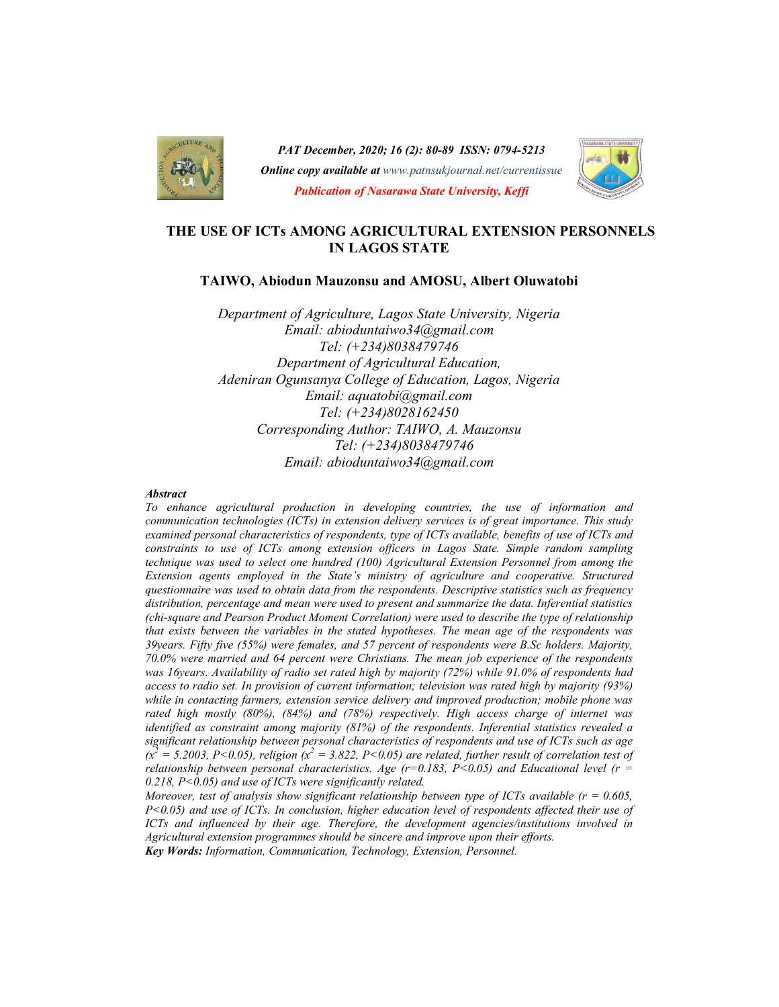

PAT December, 2020; 16 (2): 80-89 ISSN: 0794-5213 **Online copy available at** www.patnsukjournal.net/currentissue Publication of Nasarawa State University, Keffi



# THE USE OF ICTs AMONG AGRICULTURAL EXTENSION PERSONNELS IN LAGOS STATE

#### TAIWO, Abiodun Mauzonsu and AMOSU, Albert Oluwatobi

Department of Agriculture, Lagos State University, Nigeria Email: abioduntaiwo34@gmail.com Tel: (+234)8038479746 Department of Agricultural Education, Adeniran Ogunsanya College of Education, Lagos, Nigeria Email: aquatobi@gmail.com Tel: (+234)8028162450 Corresponding Author: TAIWO, A. Mauzonsu Tel: (+234)8038479746 Email: abioduntaiwo34@gmail.com

#### **Abstract**

To enhance agricultural production in developing countries, the use of information and communication technologies (ICTs) in extension delivery services is of great importance. This study examined personal characteristics of respondents, type of ICTs available, benefits of use of ICTs and constraints to use of ICTs among extension officers in Lagos State. Simple random sampling technique was used to select one hundred (100) Agricultural Extension Personnel from among the Extension agents employed in the State's ministry of agriculture and cooperative. Structured questionnaire was used to obtain data from the respondents. Descriptive statistics such as frequency distribution, percentage and mean were used to present and summarize the data. Inferential statistics (chi-square and Pearson Product Moment Correlation) were used to describe the type of relationship that exists between the variables in the stated hypotheses. The mean age of the respondents was 39years. Fifty five (55%) were females, and 57 percent of respondents were B.Sc holders. Majority, 70.0% were married and 64 percent were Christians. The mean job experience of the respondents was 16years. Availability of radio set rated high by majority (72%) while 91.0% of respondents had access to radio set. In provision of current information; television was rated high by majority (93%) while in contacting farmers, extension service delivery and improved production; mobile phone was rated high mostly (80%), (84%) and (78%) respectively. High access charge of internet was identified as constraint among majority (81%) of the respondents. Inferential statistics revealed a significant relationship between personal characteristics of respondents and use of ICTs such as age  $(x^2 = 5.2003, P < 0.05)$ , religion  $(x^2 = 3.822, P < 0.05)$  are related, further result of correlation test of relationship between personal characteristics. Age  $(r=0.183, P<0.05)$  and Educational level  $(r=$ 0.218,  $P < 0.05$ ) and use of ICTs were significantly related.

Moreover, test of analysis show significant relationship between type of ICTs available  $(r = 0.605,$  $P<0.05$ ) and use of ICTs. In conclusion, higher education level of respondents affected their use of ICTs and influenced by their age. Therefore, the development agencies/institutions involved in Agricultural extension programmes should be sincere and improve upon their efforts. Key Words: Information, Communication, Technology, Extension, Personnel.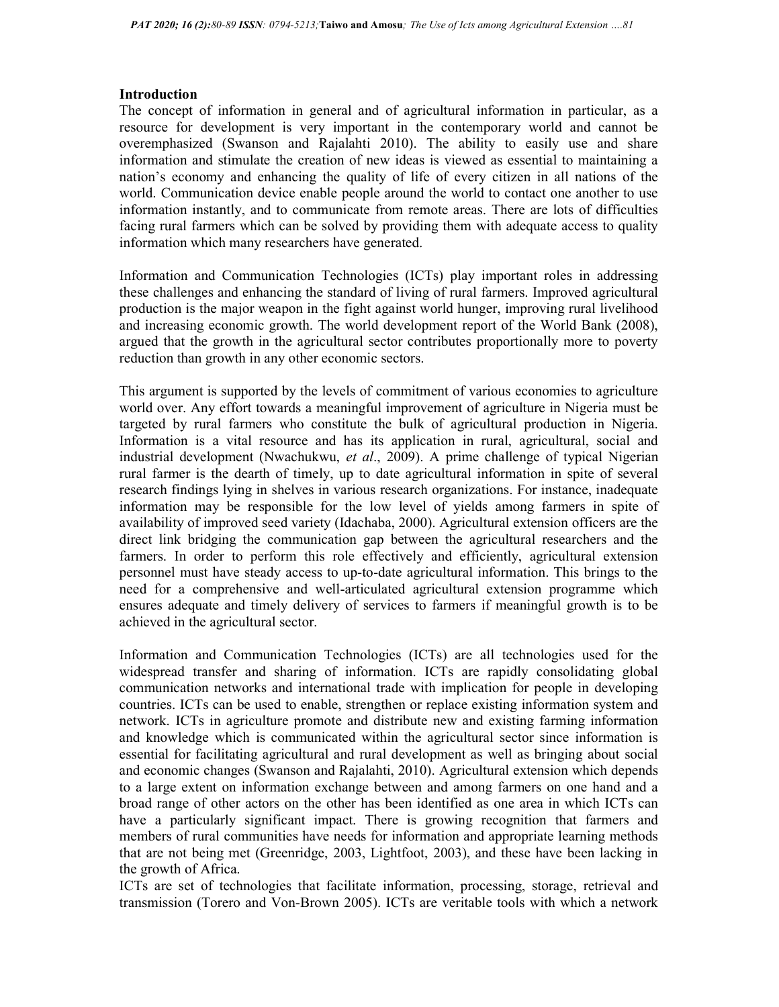### **Introduction**

The concept of information in general and of agricultural information in particular, as a resource for development is very important in the contemporary world and cannot be overemphasized (Swanson and Rajalahti 2010). The ability to easily use and share information and stimulate the creation of new ideas is viewed as essential to maintaining a nation's economy and enhancing the quality of life of every citizen in all nations of the world. Communication device enable people around the world to contact one another to use information instantly, and to communicate from remote areas. There are lots of difficulties facing rural farmers which can be solved by providing them with adequate access to quality information which many researchers have generated.

Information and Communication Technologies (ICTs) play important roles in addressing these challenges and enhancing the standard of living of rural farmers. Improved agricultural production is the major weapon in the fight against world hunger, improving rural livelihood and increasing economic growth. The world development report of the World Bank (2008), argued that the growth in the agricultural sector contributes proportionally more to poverty reduction than growth in any other economic sectors.

This argument is supported by the levels of commitment of various economies to agriculture world over. Any effort towards a meaningful improvement of agriculture in Nigeria must be targeted by rural farmers who constitute the bulk of agricultural production in Nigeria. Information is a vital resource and has its application in rural, agricultural, social and industrial development (Nwachukwu, et al., 2009). A prime challenge of typical Nigerian rural farmer is the dearth of timely, up to date agricultural information in spite of several research findings lying in shelves in various research organizations. For instance, inadequate information may be responsible for the low level of yields among farmers in spite of availability of improved seed variety (Idachaba, 2000). Agricultural extension officers are the direct link bridging the communication gap between the agricultural researchers and the farmers. In order to perform this role effectively and efficiently, agricultural extension personnel must have steady access to up-to-date agricultural information. This brings to the need for a comprehensive and well-articulated agricultural extension programme which ensures adequate and timely delivery of services to farmers if meaningful growth is to be achieved in the agricultural sector.

Information and Communication Technologies (ICTs) are all technologies used for the widespread transfer and sharing of information. ICTs are rapidly consolidating global communication networks and international trade with implication for people in developing countries. ICTs can be used to enable, strengthen or replace existing information system and network. ICTs in agriculture promote and distribute new and existing farming information and knowledge which is communicated within the agricultural sector since information is essential for facilitating agricultural and rural development as well as bringing about social and economic changes (Swanson and Rajalahti, 2010). Agricultural extension which depends to a large extent on information exchange between and among farmers on one hand and a broad range of other actors on the other has been identified as one area in which ICTs can have a particularly significant impact. There is growing recognition that farmers and members of rural communities have needs for information and appropriate learning methods that are not being met (Greenridge, 2003, Lightfoot, 2003), and these have been lacking in the growth of Africa.

ICTs are set of technologies that facilitate information, processing, storage, retrieval and transmission (Torero and Von-Brown 2005). ICTs are veritable tools with which a network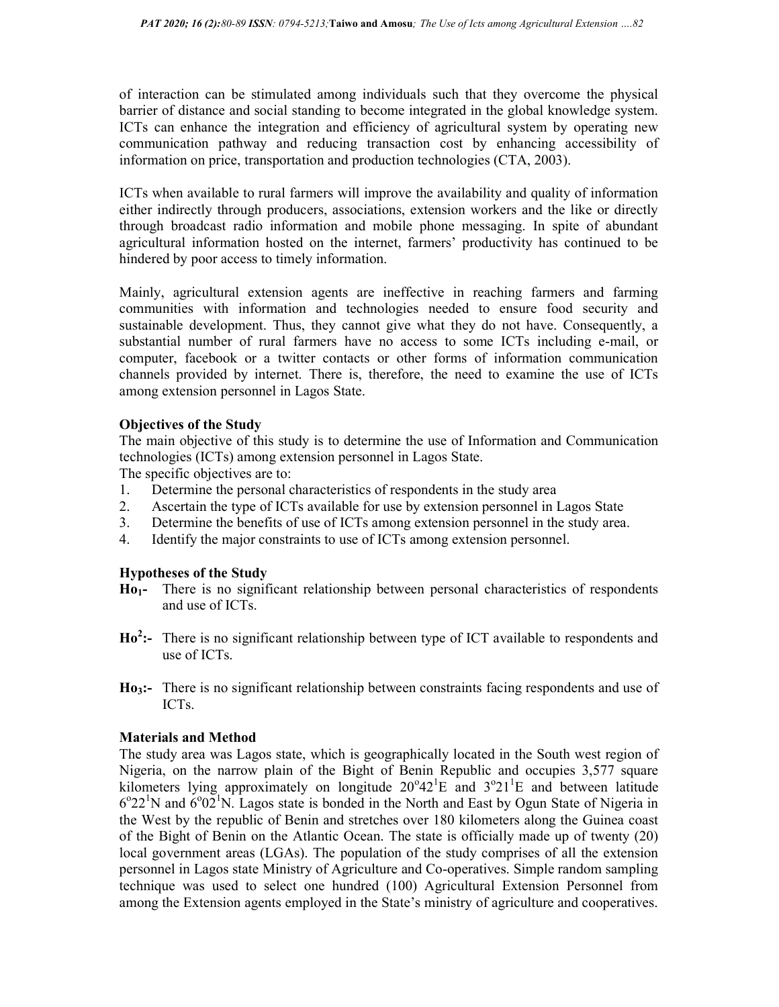of interaction can be stimulated among individuals such that they overcome the physical barrier of distance and social standing to become integrated in the global knowledge system. ICTs can enhance the integration and efficiency of agricultural system by operating new communication pathway and reducing transaction cost by enhancing accessibility of information on price, transportation and production technologies (CTA, 2003).

ICTs when available to rural farmers will improve the availability and quality of information either indirectly through producers, associations, extension workers and the like or directly through broadcast radio information and mobile phone messaging. In spite of abundant agricultural information hosted on the internet, farmers' productivity has continued to be hindered by poor access to timely information.

Mainly, agricultural extension agents are ineffective in reaching farmers and farming communities with information and technologies needed to ensure food security and sustainable development. Thus, they cannot give what they do not have. Consequently, a substantial number of rural farmers have no access to some ICTs including e-mail, or computer, facebook or a twitter contacts or other forms of information communication channels provided by internet. There is, therefore, the need to examine the use of ICTs among extension personnel in Lagos State.

# Objectives of the Study

The main objective of this study is to determine the use of Information and Communication technologies (ICTs) among extension personnel in Lagos State.

The specific objectives are to:

- 1. Determine the personal characteristics of respondents in the study area
- 2. Ascertain the type of ICTs available for use by extension personnel in Lagos State
- 3. Determine the benefits of use of ICTs among extension personnel in the study area.
- 4. Identify the major constraints to use of ICTs among extension personnel.

# Hypotheses of the Study

- Ho1- There is no significant relationship between personal characteristics of respondents and use of ICTs.
- $Ho^2$ :- There is no significant relationship between type of ICT available to respondents and use of ICTs.
- Ho3:- There is no significant relationship between constraints facing respondents and use of ICTs.

### Materials and Method

The study area was Lagos state, which is geographically located in the South west region of Nigeria, on the narrow plain of the Bight of Benin Republic and occupies 3,577 square kilometers lying approximately on longitude  $20^{\circ}42^{\circ}E$  and  $3^{\circ}21^{\circ}E$  and between latitude  $6^{\circ}22^{\prime}$ N and  $6^{\circ}02^{\prime}$ N. Lagos state is bonded in the North and East by Ogun State of Nigeria in the West by the republic of Benin and stretches over 180 kilometers along the Guinea coast of the Bight of Benin on the Atlantic Ocean. The state is officially made up of twenty (20) local government areas (LGAs). The population of the study comprises of all the extension personnel in Lagos state Ministry of Agriculture and Co-operatives. Simple random sampling technique was used to select one hundred (100) Agricultural Extension Personnel from among the Extension agents employed in the State's ministry of agriculture and cooperatives.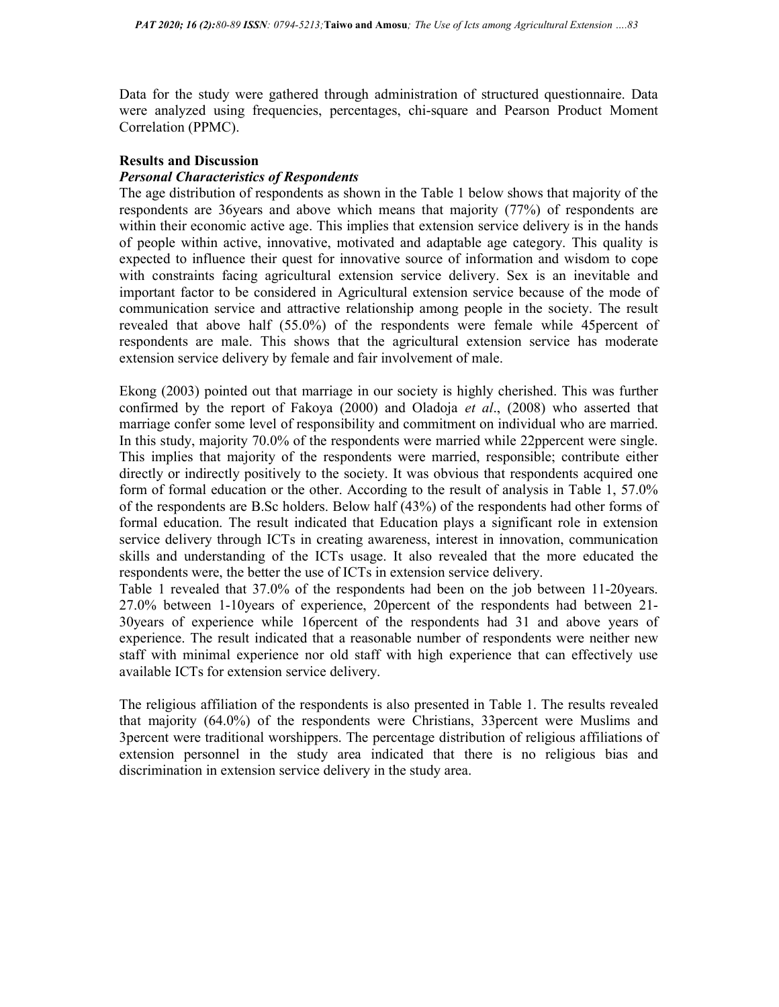Data for the study were gathered through administration of structured questionnaire. Data were analyzed using frequencies, percentages, chi-square and Pearson Product Moment Correlation (PPMC).

### Results and Discussion

### Personal Characteristics of Respondents

The age distribution of respondents as shown in the Table 1 below shows that majority of the respondents are 36years and above which means that majority (77%) of respondents are within their economic active age. This implies that extension service delivery is in the hands of people within active, innovative, motivated and adaptable age category. This quality is expected to influence their quest for innovative source of information and wisdom to cope with constraints facing agricultural extension service delivery. Sex is an inevitable and important factor to be considered in Agricultural extension service because of the mode of communication service and attractive relationship among people in the society. The result revealed that above half (55.0%) of the respondents were female while 45percent of respondents are male. This shows that the agricultural extension service has moderate extension service delivery by female and fair involvement of male.

Ekong (2003) pointed out that marriage in our society is highly cherished. This was further confirmed by the report of Fakoya (2000) and Oladoja et al., (2008) who asserted that marriage confer some level of responsibility and commitment on individual who are married. In this study, majority 70.0% of the respondents were married while 22ppercent were single. This implies that majority of the respondents were married, responsible; contribute either directly or indirectly positively to the society. It was obvious that respondents acquired one form of formal education or the other. According to the result of analysis in Table 1, 57.0% of the respondents are B.Sc holders. Below half (43%) of the respondents had other forms of formal education. The result indicated that Education plays a significant role in extension service delivery through ICTs in creating awareness, interest in innovation, communication skills and understanding of the ICTs usage. It also revealed that the more educated the respondents were, the better the use of ICTs in extension service delivery.

Table 1 revealed that 37.0% of the respondents had been on the job between 11-20years. 27.0% between 1-10years of experience, 20percent of the respondents had between 21- 30years of experience while 16percent of the respondents had 31 and above years of experience. The result indicated that a reasonable number of respondents were neither new staff with minimal experience nor old staff with high experience that can effectively use available ICTs for extension service delivery.

The religious affiliation of the respondents is also presented in Table 1. The results revealed that majority (64.0%) of the respondents were Christians, 33percent were Muslims and 3percent were traditional worshippers. The percentage distribution of religious affiliations of extension personnel in the study area indicated that there is no religious bias and discrimination in extension service delivery in the study area.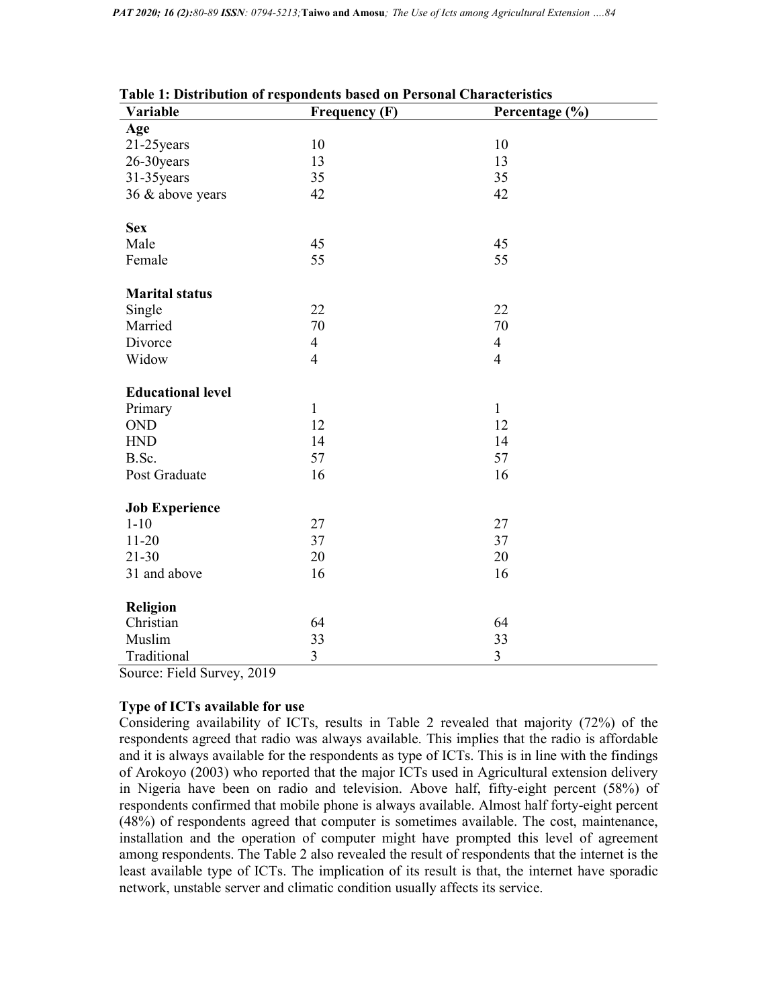| Table 1: Distribution of respondents based on Personal Characteristics |                      |                |  |
|------------------------------------------------------------------------|----------------------|----------------|--|
| Variable                                                               | <b>Frequency (F)</b> | Percentage (%) |  |
| Age                                                                    |                      |                |  |
| 21-25 years                                                            | 10                   | 10             |  |
| 26-30years                                                             | 13                   | 13             |  |
| 31-35 years                                                            | 35                   | 35             |  |
| 36 & above years                                                       | 42                   | 42             |  |
| <b>Sex</b>                                                             |                      |                |  |
| Male                                                                   | 45                   | 45             |  |
| Female                                                                 | 55                   | 55             |  |
| <b>Marital status</b>                                                  |                      |                |  |
| Single                                                                 | 22                   | 22             |  |
| Married                                                                | 70                   | 70             |  |
| Divorce                                                                | $\overline{4}$       | $\overline{4}$ |  |
| Widow                                                                  | $\overline{4}$       | $\overline{4}$ |  |
| <b>Educational level</b>                                               |                      |                |  |
| Primary                                                                | $\mathbf{1}$         | $\mathbf{1}$   |  |
| <b>OND</b>                                                             | 12                   | 12             |  |
| HND                                                                    | 14                   | 14             |  |
| B.Sc.                                                                  | 57                   | 57             |  |
| Post Graduate                                                          | 16                   | 16             |  |
| <b>Job Experience</b>                                                  |                      |                |  |
| $1 - 10$                                                               | 27                   | 27             |  |
| $11-20$                                                                | 37                   | 37             |  |
| $21 - 30$                                                              | 20                   | 20             |  |
| 31 and above                                                           | 16                   | 16             |  |
| <b>Religion</b>                                                        |                      |                |  |
| Christian                                                              | 64                   | 64             |  |
| Muslim                                                                 | 33                   | 33             |  |
| Traditional                                                            | 3                    | 3              |  |

| , al iaviv | <b>TICARDICAL</b> |
|------------|-------------------|
|            |                   |

Source: Field Survey, 2019

# Type of ICTs available for use

Considering availability of ICTs, results in Table 2 revealed that majority (72%) of the respondents agreed that radio was always available. This implies that the radio is affordable and it is always available for the respondents as type of ICTs. This is in line with the findings of Arokoyo (2003) who reported that the major ICTs used in Agricultural extension delivery in Nigeria have been on radio and television. Above half, fifty-eight percent (58%) of respondents confirmed that mobile phone is always available. Almost half forty-eight percent (48%) of respondents agreed that computer is sometimes available. The cost, maintenance, installation and the operation of computer might have prompted this level of agreement among respondents. The Table 2 also revealed the result of respondents that the internet is the least available type of ICTs. The implication of its result is that, the internet have sporadic network, unstable server and climatic condition usually affects its service.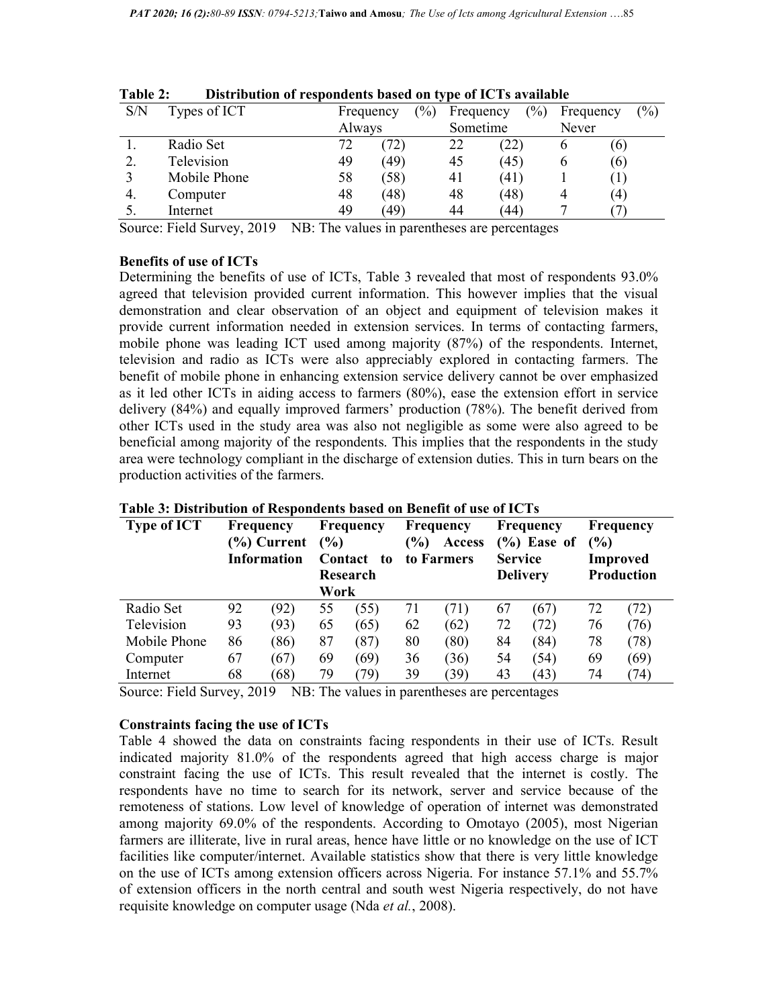| 1 avit 4. | Distribution of respondents based on type of ICTs available |           |        |           |      |       |                  |                            |
|-----------|-------------------------------------------------------------|-----------|--------|-----------|------|-------|------------------|----------------------------|
| S/N       | Types of ICT                                                | Frequency | $(\%)$ | Frequency | (%)  |       | Frequency        | $\left(\frac{0}{0}\right)$ |
|           |                                                             | Always    |        | Sometime  |      | Never |                  |                            |
|           | Radio Set                                                   | 72.       | 72)    | 22        | (22) | O     | (6)              |                            |
|           | Television                                                  | 49        | (49)   | 45        | (45) | h     | (6)              |                            |
|           | Mobile Phone                                                | 58        | (58)   | 41        | (41) |       |                  |                            |
| 4.        | Computer                                                    | 48        | (48)   | 48        | (48) |       | $\left(4\right)$ |                            |
|           | Internet                                                    | 49        | (49)   | 44        | (44) |       |                  |                            |
|           |                                                             |           |        |           |      |       |                  |                            |

| <b>Table 2:</b> |  | Distribution of respondents based on type of ICTs available |
|-----------------|--|-------------------------------------------------------------|
|                 |  |                                                             |

Source: Field Survey, 2019 NB: The values in parentheses are percentages

## Benefits of use of ICTs

Determining the benefits of use of ICTs, Table 3 revealed that most of respondents 93.0% agreed that television provided current information. This however implies that the visual demonstration and clear observation of an object and equipment of television makes it provide current information needed in extension services. In terms of contacting farmers, mobile phone was leading ICT used among majority (87%) of the respondents. Internet, television and radio as ICTs were also appreciably explored in contacting farmers. The benefit of mobile phone in enhancing extension service delivery cannot be over emphasized as it led other ICTs in aiding access to farmers (80%), ease the extension effort in service delivery (84%) and equally improved farmers' production (78%). The benefit derived from other ICTs used in the study area was also not negligible as some were also agreed to be beneficial among majority of the respondents. This implies that the respondents in the study area were technology compliant in the discharge of extension duties. This in turn bears on the production activities of the farmers.

| <b>Type of ICT</b> |    | Frequency<br>(%) Current<br><b>Information</b> | $($ %)<br>Work | <b>Frequency</b><br>Contact<br>to<br>Research | $\frac{9}{6}$ | <b>Frequency</b><br>Access<br>to Farmers | <b>Service</b> | <b>Frequency</b><br>$(\%)$ Ease of<br><b>Delivery</b> | (%) | <b>Frequency</b><br>Improved<br><b>Production</b> |
|--------------------|----|------------------------------------------------|----------------|-----------------------------------------------|---------------|------------------------------------------|----------------|-------------------------------------------------------|-----|---------------------------------------------------|
| Radio Set          | 92 | (92)                                           | 55             | (55)                                          | 71            | (71)                                     | 67             | (67)                                                  | 72  | (72)                                              |
| Television         | 93 | (93)                                           | 65             | (65)                                          | 62            | (62)                                     | 72             | (72)                                                  | 76  | (76)                                              |
| Mobile Phone       | 86 | (86)                                           | 87             | (87)                                          | 80            | (80)                                     | 84             | (84)                                                  | 78  | (78)                                              |
| Computer           | 67 | (67)                                           | 69             | (69)                                          | 36            | (36)                                     | 54             | (54)                                                  | 69  | (69)                                              |
| Internet           | 68 | (68)                                           | 79             | 79)                                           | 39            | (39)                                     | 43             | (43)                                                  | 74  | (74)                                              |

### Table 3: Distribution of Respondents based on Benefit of use of ICTs

Source: Field Survey, 2019 NB: The values in parentheses are percentages

### Constraints facing the use of ICTs

Table 4 showed the data on constraints facing respondents in their use of ICTs. Result indicated majority 81.0% of the respondents agreed that high access charge is major constraint facing the use of ICTs. This result revealed that the internet is costly. The respondents have no time to search for its network, server and service because of the remoteness of stations. Low level of knowledge of operation of internet was demonstrated among majority 69.0% of the respondents. According to Omotayo (2005), most Nigerian farmers are illiterate, live in rural areas, hence have little or no knowledge on the use of ICT facilities like computer/internet. Available statistics show that there is very little knowledge on the use of ICTs among extension officers across Nigeria. For instance 57.1% and 55.7% of extension officers in the north central and south west Nigeria respectively, do not have requisite knowledge on computer usage (Nda et al., 2008).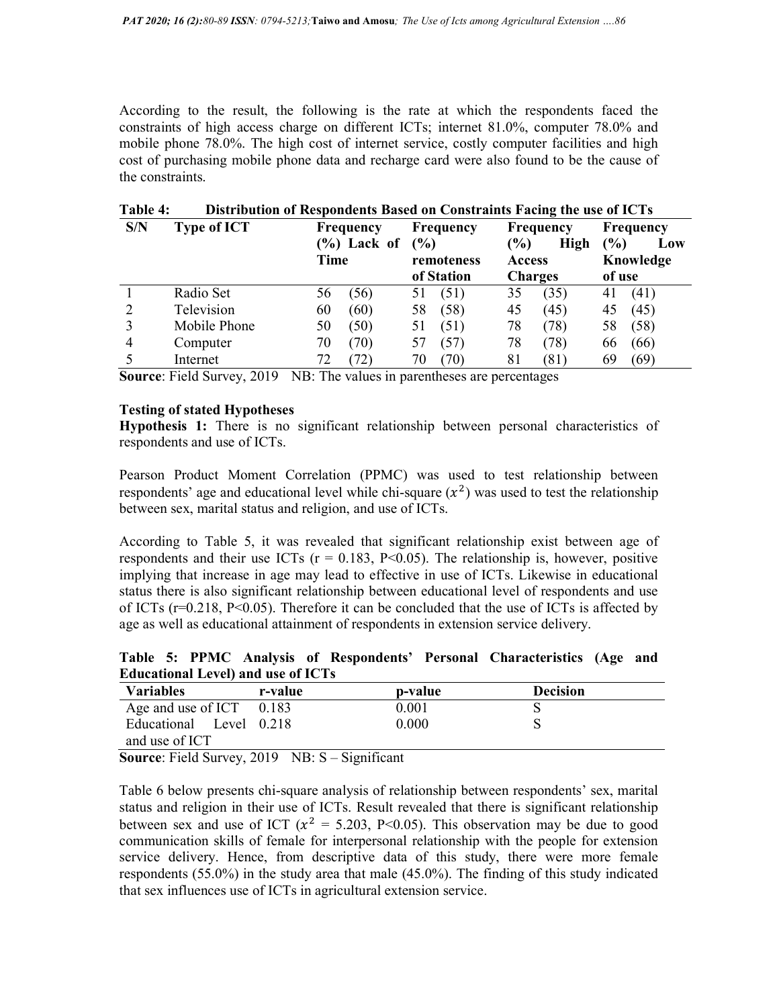According to the result, the following is the rate at which the respondents faced the constraints of high access charge on different ICTs; internet 81.0%, computer 78.0% and mobile phone 78.0%. The high cost of internet service, costly computer facilities and high cost of purchasing mobile phone data and recharge card were also found to be the cause of the constraints.

| S/N | Distribution of Respondents Dased on Constraints Facing the use of ICTs<br><b>Type of ICT</b> | Frequency      | <b>Frequency</b> | <b>Frequency</b>      | <b>Frequency</b> |
|-----|-----------------------------------------------------------------------------------------------|----------------|------------------|-----------------------|------------------|
|     |                                                                                               | $(\%)$ Lack of | (%)              | $\frac{1}{2}$<br>High | (%)<br>Low       |
|     |                                                                                               | Time           | remoteness       | <b>Access</b>         | Knowledge        |
|     |                                                                                               |                | of Station       | <b>Charges</b>        | of use           |
|     | Radio Set                                                                                     | (56)<br>56     | (51)<br>51       | (35)<br>35            | (41)<br>41       |
|     | Television                                                                                    | (60)<br>60     | (58)<br>58       | (45)<br>45            | (45)<br>45       |
|     | Mobile Phone                                                                                  | 50<br>(50)     | (51)<br>51       | 78<br>(78)            | (58)<br>58       |
| 4   | Computer                                                                                      | (70)<br>70     | (57)<br>57       | 78<br>(78)            | (66)<br>66       |
|     | Internet                                                                                      | 72<br>72)      | (70)<br>70       | (81)<br>81            | (69)<br>69       |

Table 4: Distribution of Respondents Based on Constraints Facing the use of ICTs

Source: Field Survey, 2019 NB: The values in parentheses are percentages

## Testing of stated Hypotheses

Hypothesis 1: There is no significant relationship between personal characteristics of respondents and use of ICTs.

Pearson Product Moment Correlation (PPMC) was used to test relationship between respondents' age and educational level while chi-square  $(x^2)$  was used to test the relationship between sex, marital status and religion, and use of ICTs.

According to Table 5, it was revealed that significant relationship exist between age of respondents and their use ICTs ( $r = 0.183$ , P<0.05). The relationship is, however, positive implying that increase in age may lead to effective in use of ICTs. Likewise in educational status there is also significant relationship between educational level of respondents and use of ICTs (r=0.218, P<0.05). Therefore it can be concluded that the use of ICTs is affected by age as well as educational attainment of respondents in extension service delivery.

Table 5: PPMC Analysis of Respondents' Personal Characteristics (Age and Educational Level) and use of ICTs

| <b>Variables</b>                                                                     | r-value | p-value | <b>Decision</b> |  |
|--------------------------------------------------------------------------------------|---------|---------|-----------------|--|
| Age and use of ICT $0.183$                                                           |         | 0.001   |                 |  |
| Educational Level 0.218                                                              |         | 0.000   |                 |  |
| and use of ICT                                                                       |         |         |                 |  |
| $\Omega$ $\Gamma$ 110 $\Omega$ $\Omega$ $\Gamma$ $\Omega$ $\Gamma$ $\Gamma$ $\Gamma$ |         |         |                 |  |

Source: Field Survey, 2019 NB: S – Significant

Table 6 below presents chi-square analysis of relationship between respondents' sex, marital status and religion in their use of ICTs. Result revealed that there is significant relationship between sex and use of ICT ( $x^2 = 5.203$ , P<0.05). This observation may be due to good communication skills of female for interpersonal relationship with the people for extension service delivery. Hence, from descriptive data of this study, there were more female respondents (55.0%) in the study area that male (45.0%). The finding of this study indicated that sex influences use of ICTs in agricultural extension service.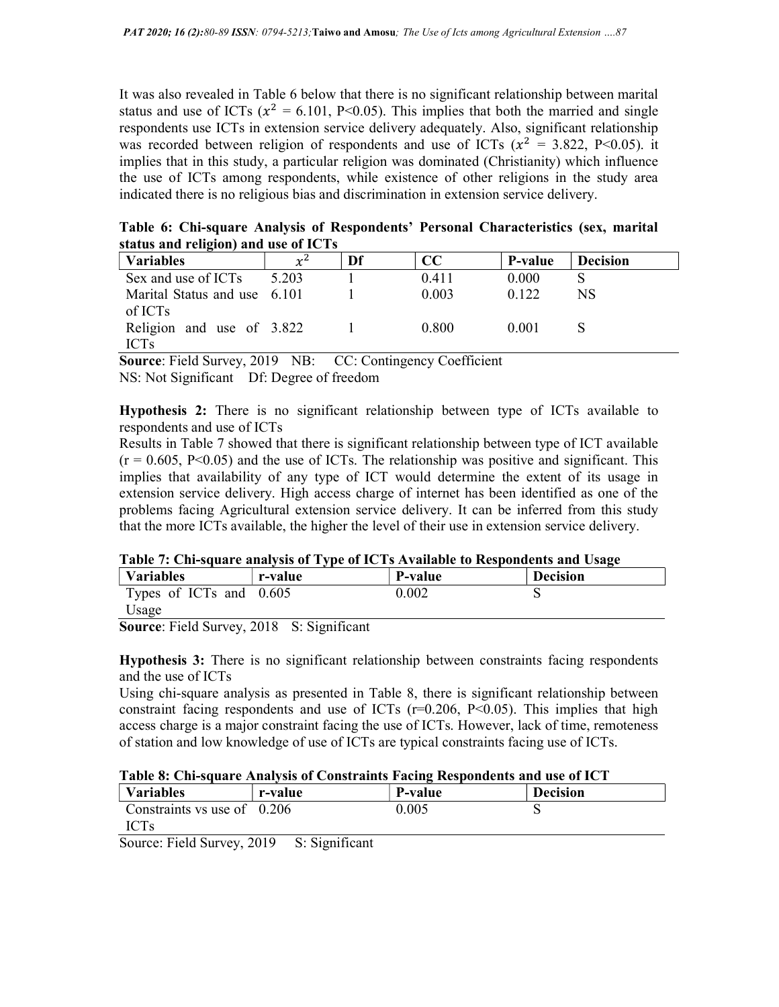It was also revealed in Table 6 below that there is no significant relationship between marital status and use of ICTs ( $x^2 = 6.101$ , P<0.05). This implies that both the married and single respondents use ICTs in extension service delivery adequately. Also, significant relationship was recorded between religion of respondents and use of ICTs ( $x^2 = 3.822$ , P<0.05). it implies that in this study, a particular religion was dominated (Christianity) which influence the use of ICTs among respondents, while existence of other religions in the study area indicated there is no religious bias and discrimination in extension service delivery.

Table 6: Chi-square Analysis of Respondents' Personal Characteristics (sex, marital status and religion) and use of ICTs

| <b>Variables</b>             | $\mathcal{V}^2$ | Df | CC    | P-value | <sup>'</sup> Decision |
|------------------------------|-----------------|----|-------|---------|-----------------------|
| Sex and use of ICTs          | 5.203           |    | 0.411 | 0.000   |                       |
| Marital Status and use 6.101 |                 |    | 0.003 | 0.122   | NS                    |
| of ICTs                      |                 |    |       |         |                       |
| Religion and use of 3.822    |                 |    | 0.800 | 0.001   |                       |
| <b>ICTs</b>                  |                 |    |       |         |                       |

Source: Field Survey, 2019 NB: CC: Contingency Coefficient NS: Not Significant Df: Degree of freedom

Hypothesis 2: There is no significant relationship between type of ICTs available to respondents and use of ICTs

Results in Table 7 showed that there is significant relationship between type of ICT available  $(r = 0.605, P < 0.05)$  and the use of ICTs. The relationship was positive and significant. This implies that availability of any type of ICT would determine the extent of its usage in extension service delivery. High access charge of internet has been identified as one of the problems facing Agricultural extension service delivery. It can be inferred from this study that the more ICTs available, the higher the level of their use in extension service delivery.

|  |  | Table 7: Chi-square analysis of Type of ICTs Available to Respondents and Usage |
|--|--|---------------------------------------------------------------------------------|
|  |  |                                                                                 |

| 'Variables              | r-value | P-value | <b>Decision</b> |
|-------------------------|---------|---------|-----------------|
| Types of ICTs and 0.605 |         | 0.002   |                 |
| Usage                   |         |         |                 |

Source: Field Survey, 2018 S: Significant

Hypothesis 3: There is no significant relationship between constraints facing respondents and the use of ICTs

Using chi-square analysis as presented in Table 8, there is significant relationship between constraint facing respondents and use of ICTs  $(r=0.206, P<0.05)$ . This implies that high access charge is a major constraint facing the use of ICTs. However, lack of time, remoteness of station and low knowledge of use of ICTs are typical constraints facing use of ICTs.

# Table 8: Chi-square Analysis of Constraints Facing Respondents and use of ICT

| <b>Variables</b>              | r-value                                           | P-value | <b>Decision</b> |
|-------------------------------|---------------------------------------------------|---------|-----------------|
| Constraints vs use of $0.206$ |                                                   | 0.005   |                 |
| <b>ICTs</b>                   |                                                   |         |                 |
| T: 110<br>$\sim$              | $\sim$ $\sim$ $\sim$<br>$\mathbf{a}$ $\mathbf{a}$ |         |                 |

Source: Field Survey, 2019 S: Significant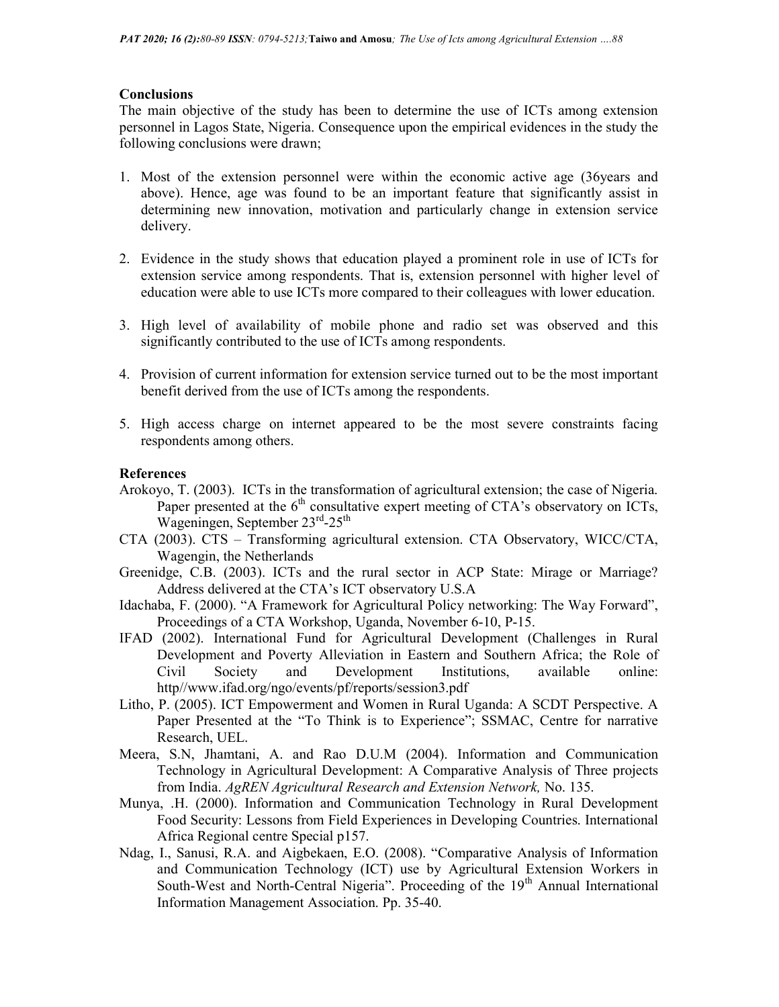## **Conclusions**

The main objective of the study has been to determine the use of ICTs among extension personnel in Lagos State, Nigeria. Consequence upon the empirical evidences in the study the following conclusions were drawn;

- 1. Most of the extension personnel were within the economic active age (36years and above). Hence, age was found to be an important feature that significantly assist in determining new innovation, motivation and particularly change in extension service delivery.
- 2. Evidence in the study shows that education played a prominent role in use of ICTs for extension service among respondents. That is, extension personnel with higher level of education were able to use ICTs more compared to their colleagues with lower education.
- 3. High level of availability of mobile phone and radio set was observed and this significantly contributed to the use of ICTs among respondents.
- 4. Provision of current information for extension service turned out to be the most important benefit derived from the use of ICTs among the respondents.
- 5. High access charge on internet appeared to be the most severe constraints facing respondents among others.

## References

- Arokoyo, T. (2003). ICTs in the transformation of agricultural extension; the case of Nigeria. Paper presented at the  $6<sup>th</sup>$  consultative expert meeting of CTA's observatory on ICTs, Wageningen, September 23rd-25<sup>th</sup>
- CTA (2003). CTS Transforming agricultural extension. CTA Observatory, WICC/CTA, Wagengin, the Netherlands
- Greenidge, C.B. (2003). ICTs and the rural sector in ACP State: Mirage or Marriage? Address delivered at the CTA's ICT observatory U.S.A
- Idachaba, F. (2000). "A Framework for Agricultural Policy networking: The Way Forward", Proceedings of a CTA Workshop, Uganda, November 6-10, P-15.
- IFAD (2002). International Fund for Agricultural Development (Challenges in Rural Development and Poverty Alleviation in Eastern and Southern Africa; the Role of Civil Society and Development Institutions, available online: http//www.ifad.org/ngo/events/pf/reports/session3.pdf
- Litho, P. (2005). ICT Empowerment and Women in Rural Uganda: A SCDT Perspective. A Paper Presented at the "To Think is to Experience"; SSMAC, Centre for narrative Research, UEL.
- Meera, S.N, Jhamtani, A. and Rao D.U.M (2004). Information and Communication Technology in Agricultural Development: A Comparative Analysis of Three projects from India. AgREN Agricultural Research and Extension Network, No. 135.
- Munya, .H. (2000). Information and Communication Technology in Rural Development Food Security: Lessons from Field Experiences in Developing Countries. International Africa Regional centre Special p157.
- Ndag, I., Sanusi, R.A. and Aigbekaen, E.O. (2008). "Comparative Analysis of Information and Communication Technology (ICT) use by Agricultural Extension Workers in South-West and North-Central Nigeria". Proceeding of the  $19<sup>th</sup>$  Annual International Information Management Association. Pp. 35-40.